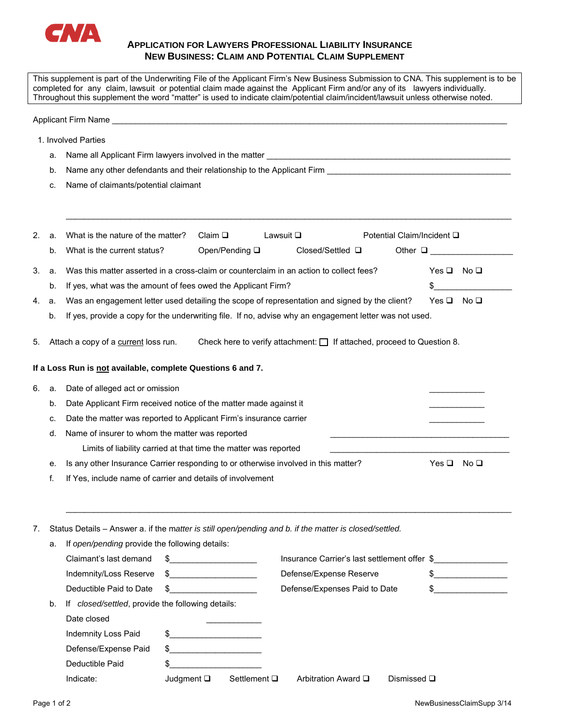

## **APPLICATION FOR LAWYERS PROFESSIONAL LIABILITY INSURANCE NEW BUSINESS: CLAIM AND POTENTIAL CLAIM SUPPLEMENT**

This supplement is part of the Underwriting File of the Applicant Firm's New Business Submission to CNA. This supplement is to be completed for any claim, lawsuit or potential claim made against the Applicant Firm and/or any of its lawyers individually. Throughout this supplement the word "matter" is used to indicate claim/potential claim/incident/lawsuit unless otherwise noted.

\_\_\_\_\_\_\_\_\_\_\_\_\_\_\_\_\_\_\_\_\_\_\_\_\_\_\_\_\_\_\_\_\_\_\_\_\_\_\_\_\_\_\_\_\_\_\_\_\_\_\_\_\_\_\_\_\_\_\_\_\_\_\_\_\_\_\_\_\_\_\_\_\_\_\_\_\_\_\_\_\_\_\_\_\_\_\_\_\_\_\_\_\_\_\_\_\_

Applicant Firm Name \_\_\_\_\_\_\_\_\_\_\_\_\_\_\_\_\_\_\_\_\_\_\_\_\_\_\_\_\_\_\_\_\_\_\_\_\_\_\_\_\_\_\_\_\_\_\_\_\_\_\_\_\_\_\_\_\_\_\_\_\_\_\_\_\_\_\_\_\_\_\_\_\_\_\_\_\_\_\_\_\_\_\_\_\_\_

- 1. Involved Parties
	- a. Name all Applicant Firm lawyers involved in the matter \_\_\_\_
	- b. Name any other defendants and their relationship to the Applicant Firm \_\_\_\_\_\_\_\_\_\_\_\_\_\_\_\_\_\_\_\_\_\_\_\_\_\_\_\_\_\_\_\_\_\_\_\_\_\_\_\_
	- c. Name of claimants/potential claimant

| 2. | a.                                                                                                     | What is the nature of the matter?                                                                                                                       | Claim $\square$    |                                         |                      | Lawsuit $\square$                                                           |  | Potential Claim/Incident □ |                          |               |
|----|--------------------------------------------------------------------------------------------------------|---------------------------------------------------------------------------------------------------------------------------------------------------------|--------------------|-----------------------------------------|----------------------|-----------------------------------------------------------------------------|--|----------------------------|--------------------------|---------------|
|    | b.                                                                                                     | What is the current status?                                                                                                                             |                    | Open/Pending □                          |                      | Closed/Settled □                                                            |  | Other $\square$            |                          |               |
| 3. | a.<br>b.                                                                                               | Was this matter asserted in a cross-claim or counterclaim in an action to collect fees?<br>If yes, what was the amount of fees owed the Applicant Firm? |                    |                                         |                      |                                                                             |  |                            | $Yes \Box No \Box$<br>\$ |               |
| 4. | a.                                                                                                     | Was an engagement letter used detailing the scope of representation and signed by the client?                                                           |                    |                                         |                      |                                                                             |  |                            | $Yes \Box No \Box$       |               |
|    | b.                                                                                                     | If yes, provide a copy for the underwriting file. If no, advise why an engagement letter was not used.                                                  |                    |                                         |                      |                                                                             |  |                            |                          |               |
| 5. |                                                                                                        | Attach a copy of a current loss run.                                                                                                                    |                    |                                         |                      | Check here to verify attachment: $\Box$ If attached, proceed to Question 8. |  |                            |                          |               |
|    |                                                                                                        | If a Loss Run is not available, complete Questions 6 and 7.                                                                                             |                    |                                         |                      |                                                                             |  |                            |                          |               |
| 6. | a.                                                                                                     | Date of alleged act or omission                                                                                                                         |                    |                                         |                      |                                                                             |  |                            |                          |               |
|    | b.                                                                                                     | Date Applicant Firm received notice of the matter made against it                                                                                       |                    |                                         |                      |                                                                             |  |                            |                          |               |
|    | C.                                                                                                     | Date the matter was reported to Applicant Firm's insurance carrier                                                                                      |                    |                                         |                      |                                                                             |  |                            |                          |               |
|    | d.                                                                                                     | Name of insurer to whom the matter was reported                                                                                                         |                    |                                         |                      |                                                                             |  |                            |                          |               |
|    |                                                                                                        | Limits of liability carried at that time the matter was reported                                                                                        |                    |                                         |                      |                                                                             |  |                            |                          |               |
|    | е.                                                                                                     | Is any other Insurance Carrier responding to or otherwise involved in this matter?                                                                      |                    |                                         |                      |                                                                             |  |                            | $Yes \Box No \Box$       |               |
|    | f.                                                                                                     | If Yes, include name of carrier and details of involvement                                                                                              |                    |                                         |                      |                                                                             |  |                            |                          |               |
|    |                                                                                                        |                                                                                                                                                         |                    |                                         |                      |                                                                             |  |                            |                          |               |
|    |                                                                                                        |                                                                                                                                                         |                    |                                         |                      |                                                                             |  |                            |                          |               |
| 7. | Status Details - Answer a. if the matter is still open/pending and b. if the matter is closed/settled. |                                                                                                                                                         |                    |                                         |                      |                                                                             |  |                            |                          |               |
|    | a.                                                                                                     | If open/pending provide the following details:                                                                                                          |                    |                                         |                      |                                                                             |  |                            |                          |               |
|    |                                                                                                        | Claimant's last demand                                                                                                                                  | \$                 | <u> 1990 - Johann Barbara, martin a</u> |                      | Insurance Carrier's last settlement offer \$                                |  |                            |                          |               |
|    |                                                                                                        | Indemnity/Loss Reserve                                                                                                                                  | \$                 |                                         |                      | Defense/Expense Reserve                                                     |  |                            |                          | $\frac{1}{2}$ |
|    |                                                                                                        | Deductible Paid to Date                                                                                                                                 | \$                 |                                         |                      | Defense/Expenses Paid to Date                                               |  |                            |                          | $\sim$        |
|    | b.                                                                                                     | If closed/settled, provide the following details:                                                                                                       |                    |                                         |                      |                                                                             |  |                            |                          |               |
|    |                                                                                                        | Date closed                                                                                                                                             |                    |                                         |                      |                                                                             |  |                            |                          |               |
|    |                                                                                                        | Indemnity Loss Paid                                                                                                                                     | \$                 |                                         |                      |                                                                             |  |                            |                          |               |
|    |                                                                                                        | Defense/Expense Paid                                                                                                                                    |                    | <u> 1990 - Johann Barbara, martx</u>    |                      |                                                                             |  |                            |                          |               |
|    |                                                                                                        | Deductible Paid                                                                                                                                         | \$                 |                                         |                      |                                                                             |  |                            |                          |               |
|    |                                                                                                        | Indicate:                                                                                                                                               | Judgment $\square$ |                                         | Settlement $\square$ | Arbitration Award □                                                         |  | Dismissed $\square$        |                          |               |